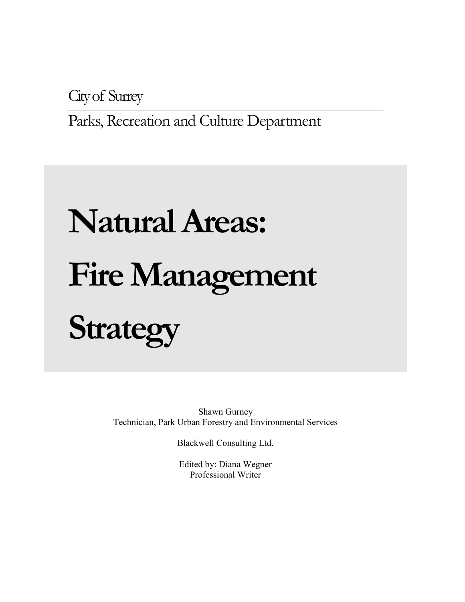City of Surrey

Parks, Recreation and Culture Department

# **Natural Areas: Fire Management Strategy**

Shawn Gurney Technician, Park Urban Forestry and Environmental Services

Blackwell Consulting Ltd.

Edited by: Diana Wegner Professional Writer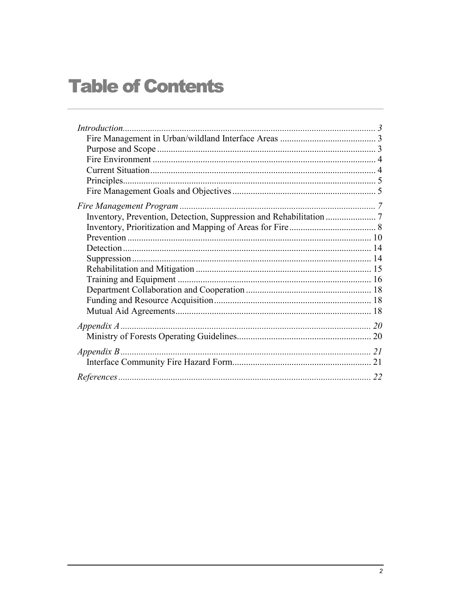# **Table of Contents**

| 22 |
|----|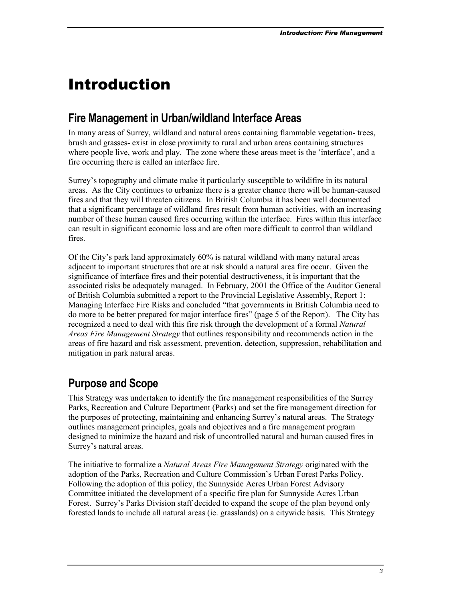# <span id="page-2-0"></span>Introduction

## **Fire Management in Urban/wildland Interface Areas**

In many areas of Surrey, wildland and natural areas containing flammable vegetation- trees, brush and grasses- exist in close proximity to rural and urban areas containing structures where people live, work and play. The zone where these areas meet is the 'interface', and a fire occurring there is called an interface fire.

Surrey's topography and climate make it particularly susceptible to wildifire in its natural areas. As the City continues to urbanize there is a greater chance there will be human-caused fires and that they will threaten citizens. In British Columbia it has been well documented that a significant percentage of wildland fires result from human activities, with an increasing number of these human caused fires occurring within the interface. Fires within this interface can result in significant economic loss and are often more difficult to control than wildland fires.

Of the City's park land approximately 60% is natural wildland with many natural areas adjacent to important structures that are at risk should a natural area fire occur. Given the significance of interface fires and their potential destructiveness, it is important that the associated risks be adequately managed. In February, 2001 the Office of the Auditor General of British Columbia submitted a report to the Provincial Legislative Assembly, Report 1: Managing Interface Fire Risks and concluded "that governments in British Columbia need to do more to be better prepared for major interface fires" (page 5 of the Report). The City has recognized a need to deal with this fire risk through the development of a formal *Natural Areas Fire Management Strategy* that outlines responsibility and recommends action in the areas of fire hazard and risk assessment, prevention, detection, suppression, rehabilitation and mitigation in park natural areas.

## **Purpose and Scope**

This Strategy was undertaken to identify the fire management responsibilities of the Surrey Parks, Recreation and Culture Department (Parks) and set the fire management direction for the purposes of protecting, maintaining and enhancing Surrey's natural areas. The Strategy outlines management principles, goals and objectives and a fire management program designed to minimize the hazard and risk of uncontrolled natural and human caused fires in Surrey's natural areas.

The initiative to formalize a *Natural Areas Fire Management Strategy* originated with the adoption of the Parks, Recreation and Culture Commission's Urban Forest Parks Policy. Following the adoption of this policy, the Sunnyside Acres Urban Forest Advisory Committee initiated the development of a specific fire plan for Sunnyside Acres Urban Forest. Surrey's Parks Division staff decided to expand the scope of the plan beyond only forested lands to include all natural areas (ie. grasslands) on a citywide basis. This Strategy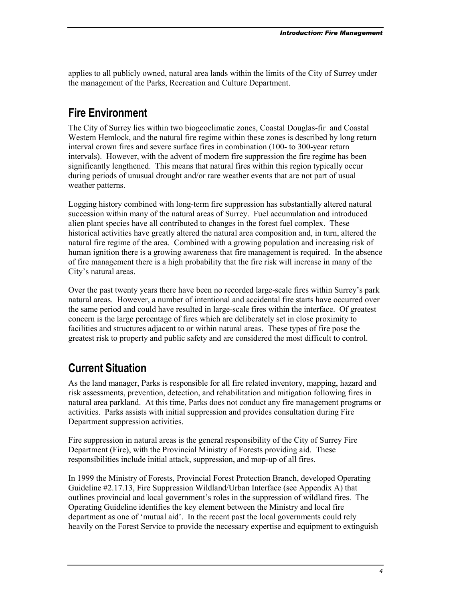<span id="page-3-0"></span>applies to all publicly owned, natural area lands within the limits of the City of Surrey under the management of the Parks, Recreation and Culture Department.

## **Fire Environment**

The City of Surrey lies within two biogeoclimatic zones, Coastal Douglas-fir and Coastal Western Hemlock, and the natural fire regime within these zones is described by long return interval crown fires and severe surface fires in combination (100- to 300-year return intervals). However, with the advent of modern fire suppression the fire regime has been significantly lengthened. This means that natural fires within this region typically occur during periods of unusual drought and/or rare weather events that are not part of usual weather patterns.

Logging history combined with long-term fire suppression has substantially altered natural succession within many of the natural areas of Surrey. Fuel accumulation and introduced alien plant species have all contributed to changes in the forest fuel complex. These historical activities have greatly altered the natural area composition and, in turn, altered the natural fire regime of the area. Combined with a growing population and increasing risk of human ignition there is a growing awareness that fire management is required. In the absence of fire management there is a high probability that the fire risk will increase in many of the City's natural areas.

Over the past twenty years there have been no recorded large-scale fires within Surrey's park natural areas. However, a number of intentional and accidental fire starts have occurred over the same period and could have resulted in large-scale fires within the interface. Of greatest concern is the large percentage of fires which are deliberately set in close proximity to facilities and structures adjacent to or within natural areas. These types of fire pose the greatest risk to property and public safety and are considered the most difficult to control.

## **Current Situation**

As the land manager, Parks is responsible for all fire related inventory, mapping, hazard and risk assessments, prevention, detection, and rehabilitation and mitigation following fires in natural area parkland. At this time, Parks does not conduct any fire management programs or activities. Parks assists with initial suppression and provides consultation during Fire Department suppression activities.

Fire suppression in natural areas is the general responsibility of the City of Surrey Fire Department (Fire), with the Provincial Ministry of Forests providing aid. These responsibilities include initial attack, suppression, and mop-up of all fires.

In 1999 the Ministry of Forests, Provincial Forest Protection Branch, developed Operating Guideline #2.17.13, Fire Suppression Wildland/Urban Interface (see Appendix A) that outlines provincial and local government's roles in the suppression of wildland fires. The Operating Guideline identifies the key element between the Ministry and local fire department as one of 'mutual aid'. In the recent past the local governments could rely heavily on the Forest Service to provide the necessary expertise and equipment to extinguish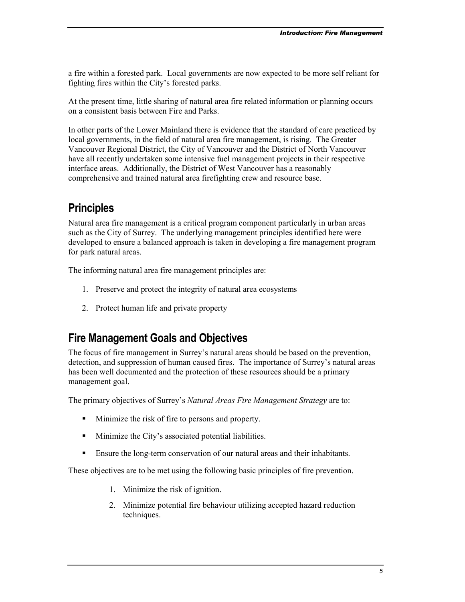<span id="page-4-0"></span>a fire within a forested park. Local governments are now expected to be more self reliant for fighting fires within the City's forested parks.

At the present time, little sharing of natural area fire related information or planning occurs on a consistent basis between Fire and Parks.

In other parts of the Lower Mainland there is evidence that the standard of care practiced by local governments, in the field of natural area fire management, is rising. The Greater Vancouver Regional District, the City of Vancouver and the District of North Vancouver have all recently undertaken some intensive fuel management projects in their respective interface areas. Additionally, the District of West Vancouver has a reasonably comprehensive and trained natural area firefighting crew and resource base.

## **Principles**

Natural area fire management is a critical program component particularly in urban areas such as the City of Surrey. The underlying management principles identified here were developed to ensure a balanced approach is taken in developing a fire management program for park natural areas.

The informing natural area fire management principles are:

- 1. Preserve and protect the integrity of natural area ecosystems
- 2. Protect human life and private property

## **Fire Management Goals and Objectives**

The focus of fire management in Surrey's natural areas should be based on the prevention, detection, and suppression of human caused fires. The importance of Surrey's natural areas has been well documented and the protection of these resources should be a primary management goal.

The primary objectives of Surrey's *Natural Areas Fire Management Strategy* are to:

- Minimize the risk of fire to persons and property.
- Minimize the City's associated potential liabilities.
- -Ensure the long-term conservation of our natural areas and their inhabitants.

These objectives are to be met using the following basic principles of fire prevention.

- 1. Minimize the risk of ignition.
- 2. Minimize potential fire behaviour utilizing accepted hazard reduction techniques.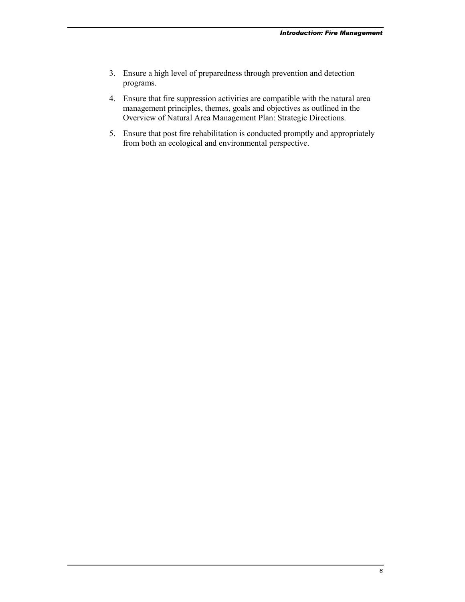- 3. Ensure a high level of preparedness through prevention and detection programs.
- 4. Ensure that fire suppression activities are compatible with the natural area management principles, themes, goals and objectives as outlined in the Overview of Natural Area Management Plan: Strategic Directions.
- 5. Ensure that post fire rehabilitation is conducted promptly and appropriately from both an ecological and environmental perspective.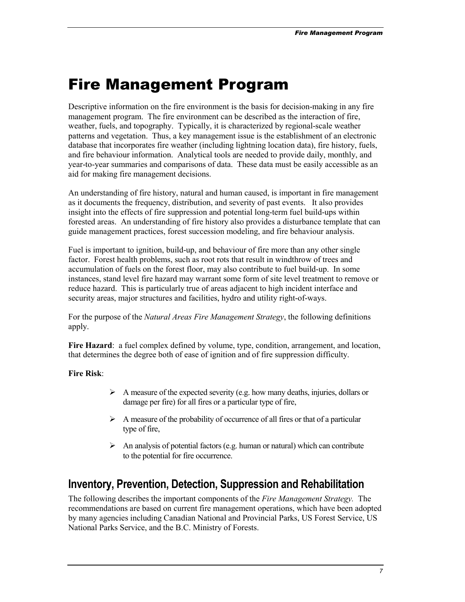# <span id="page-6-0"></span>Fire Management Program

Descriptive information on the fire environment is the basis for decision-making in any fire management program. The fire environment can be described as the interaction of fire, weather, fuels, and topography. Typically, it is characterized by regional-scale weather patterns and vegetation. Thus, a key management issue is the establishment of an electronic database that incorporates fire weather (including lightning location data), fire history, fuels, and fire behaviour information. Analytical tools are needed to provide daily, monthly, and year-to-year summaries and comparisons of data. These data must be easily accessible as an aid for making fire management decisions.

An understanding of fire history, natural and human caused, is important in fire management as it documents the frequency, distribution, and severity of past events. It also provides insight into the effects of fire suppression and potential long-term fuel build-ups within forested areas. An understanding of fire history also provides a disturbance template that can guide management practices, forest succession modeling, and fire behaviour analysis.

Fuel is important to ignition, build-up, and behaviour of fire more than any other single factor. Forest health problems, such as root rots that result in windthrow of trees and accumulation of fuels on the forest floor, may also contribute to fuel build-up. In some instances, stand level fire hazard may warrant some form of site level treatment to remove or reduce hazard. This is particularly true of areas adjacent to high incident interface and security areas, major structures and facilities, hydro and utility right-of-ways.

For the purpose of the *Natural Areas Fire Management Strategy*, the following definitions apply.

Fire Hazard: a fuel complex defined by volume, type, condition, arrangement, and location. that determines the degree both of ease of ignition and of fire suppression difficulty.

#### **Fire Risk**:

- A measure of the expected severity (e.g. how many deaths, injuries, dollars or damage per fire) for all fires or a particular type of fire,
- A measure of the probability of occurrence of all fires or that of a particular type of fire,
- -An analysis of potential factors (e.g. human or natural) which can contribute to the potential for fire occurrence.

## **Inventory, Prevention, Detection, Suppression and Rehabilitation**

The following describes the important components of the *Fire Management Strategy.* The recommendations are based on current fire management operations, which have been adopted by many agencies including Canadian National and Provincial Parks, US Forest Service, US National Parks Service, and the B.C. Ministry of Forests.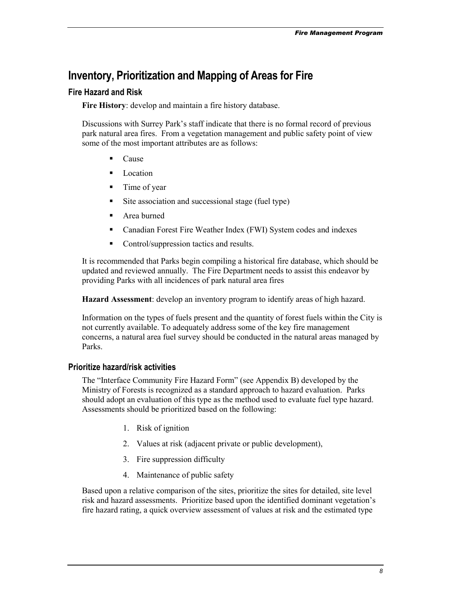## <span id="page-7-0"></span>**Inventory, Prioritization and Mapping of Areas for Fire**

#### **Fire Hazard and Risk**

**Fire History**: develop and maintain a fire history database.

Discussions with Surrey Park's staff indicate that there is no formal record of previous park natural area fires. From a vegetation management and public safety point of view some of the most important attributes are as follows:

- -Cause
- -Location
- -Time of year
- -Site association and successional stage (fuel type)
- -Area burned
- -Canadian Forest Fire Weather Index (FWI) System codes and indexes
- -Control/suppression tactics and results.

It is recommended that Parks begin compiling a historical fire database, which should be updated and reviewed annually. The Fire Department needs to assist this endeavor by providing Parks with all incidences of park natural area fires

**Hazard Assessment**: develop an inventory program to identify areas of high hazard.

Information on the types of fuels present and the quantity of forest fuels within the City is not currently available. To adequately address some of the key fire management concerns, a natural area fuel survey should be conducted in the natural areas managed by Parks.

#### **Prioritize hazard/risk activities**

The "Interface Community Fire Hazard Form" (see Appendix B) developed by the Ministry of Forests is recognized as a standard approach to hazard evaluation. Parks should adopt an evaluation of this type as the method used to evaluate fuel type hazard. Assessments should be prioritized based on the following:

- 1. Risk of ignition
- 2. Values at risk (adjacent private or public development),
- 3. Fire suppression difficulty
- 4. Maintenance of public safety

Based upon a relative comparison of the sites, prioritize the sites for detailed, site level risk and hazard assessments. Prioritize based upon the identified dominant vegetation's fire hazard rating, a quick overview assessment of values at risk and the estimated type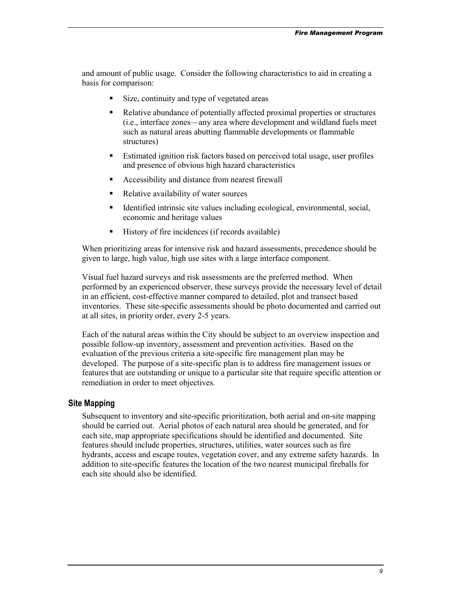and amount of public usage. Consider the following characteristics to aid in creating a basis for comparison:

- -Size, continuity and type of vegetated areas
- - Relative abundance of potentially affected proximal properties or structures (i.e., interface zones—any area where development and wildland fuels meet such as natural areas abutting flammable developments or flammable structures)
- - Estimated ignition risk factors based on perceived total usage, user profiles and presence of obvious high hazard characteristics
- -Accessibility and distance from nearest firewall
- -Relative availability of water sources
- - Identified intrinsic site values including ecological, environmental, social, economic and heritage values
- -History of fire incidences (if records available)

When prioritizing areas for intensive risk and hazard assessments, precedence should be given to large, high value, high use sites with a large interface component.

Visual fuel hazard surveys and risk assessments are the preferred method. When performed by an experienced observer, these surveys provide the necessary level of detail in an efficient, cost-effective manner compared to detailed, plot and transect based inventories. These site-specific assessments should be photo documented and carried out at all sites, in priority order, every 2-5 years.

Each of the natural areas within the City should be subject to an overview inspection and possible follow-up inventory, assessment and prevention activities. Based on the evaluation of the previous criteria a site-specific fire management plan may be developed. The purpose of a site-specific plan is to address fire management issues or features that are outstanding or unique to a particular site that require specific attention or remediation in order to meet objectives.

#### **Site Mapping**

Subsequent to inventory and site-specific prioritization, both aerial and on-site mapping should be carried out. Aerial photos of each natural area should be generated, and for each site, map appropriate specifications should be identified and documented. Site features should include properties, structures, utilities, water sources such as fire hydrants, access and escape routes, vegetation cover, and any extreme safety hazards. In addition to site-specific features the location of the two nearest municipal fireballs for each site should also be identified.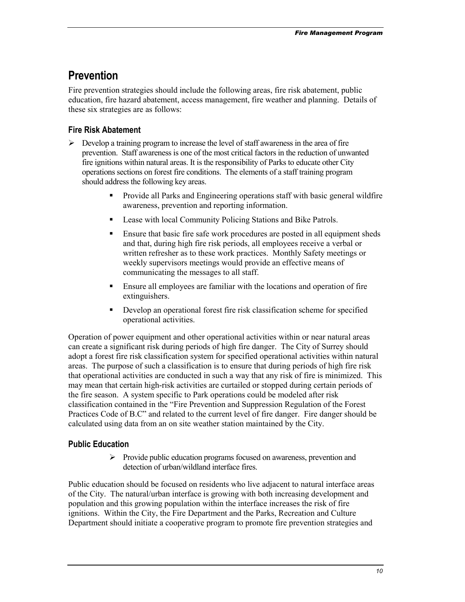## <span id="page-9-0"></span>**Prevention**

Fire prevention strategies should include the following areas, fire risk abatement, public education, fire hazard abatement, access management, fire weather and planning. Details of these six strategies are as follows:

#### **Fire Risk Abatement**

- > Develop a training program to increase the level of staff awareness in the area of fire prevention. Staff awareness is one of the most critical factors in the reduction of unwanted fire ignitions within natural areas. It is the responsibility of Parks to educate other City operations sections on forest fire conditions. The elements of a staff training program should address the following key areas.
	- - Provide all Parks and Engineering operations staff with basic general wildfire awareness, prevention and reporting information.
	- -Lease with local Community Policing Stations and Bike Patrols.
	- - Ensure that basic fire safe work procedures are posted in all equipment sheds and that, during high fire risk periods, all employees receive a verbal or written refresher as to these work practices. Monthly Safety meetings or weekly supervisors meetings would provide an effective means of communicating the messages to all staff.
	- - Ensure all employees are familiar with the locations and operation of fire extinguishers.
	- - Develop an operational forest fire risk classification scheme for specified operational activities.

Operation of power equipment and other operational activities within or near natural areas can create a significant risk during periods of high fire danger. The City of Surrey should adopt a forest fire risk classification system for specified operational activities within natural areas. The purpose of such a classification is to ensure that during periods of high fire risk that operational activities are conducted in such a way that any risk of fire is minimized. This may mean that certain high-risk activities are curtailed or stopped during certain periods of the fire season. A system specific to Park operations could be modeled after risk classification contained in the "Fire Prevention and Suppression Regulation of the Forest Practices Code of B.C" and related to the current level of fire danger. Fire danger should be calculated using data from an on site weather station maintained by the City.

#### **Public Education**

-Provide public education programs focused on awareness, prevention and detection of urban/wildland interface fires.

Public education should be focused on residents who live adjacent to natural interface areas of the City. The natural/urban interface is growing with both increasing development and population and this growing population within the interface increases the risk of fire ignitions. Within the City, the Fire Department and the Parks, Recreation and Culture Department should initiate a cooperative program to promote fire prevention strategies and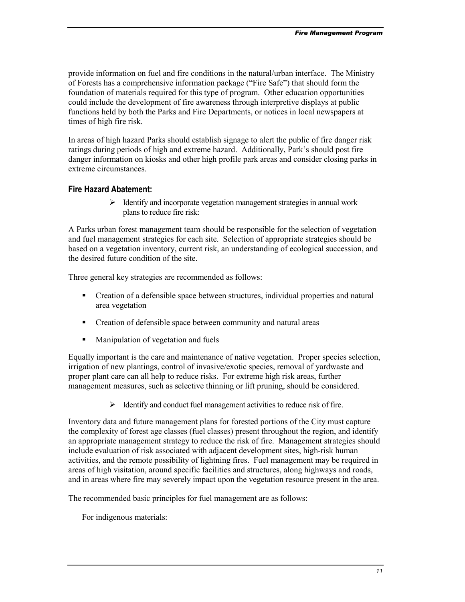provide information on fuel and fire conditions in the natural/urban interface. The Ministry of Forests has a comprehensive information package ("Fire Safe") that should form the foundation of materials required for this type of program. Other education opportunities could include the development of fire awareness through interpretive displays at public functions held by both the Parks and Fire Departments, or notices in local newspapers at times of high fire risk.

In areas of high hazard Parks should establish signage to alert the public of fire danger risk ratings during periods of high and extreme hazard. Additionally, Park's should post fire danger information on kiosks and other high profile park areas and consider closing parks in extreme circumstances.

#### **Fire Hazard Abatement:**

> Identify and incorporate vegetation management strategies in annual work plans to reduce fire risk:

A Parks urban forest management team should be responsible for the selection of vegetation and fuel management strategies for each site. Selection of appropriate strategies should be based on a vegetation inventory, current risk, an understanding of ecological succession, and the desired future condition of the site.

Three general key strategies are recommended as follows:

- - Creation of a defensible space between structures, individual properties and natural area vegetation
- -Creation of defensible space between community and natural areas
- -Manipulation of vegetation and fuels

Equally important is the care and maintenance of native vegetation. Proper species selection, irrigation of new plantings, control of invasive/exotic species, removal of yardwaste and proper plant care can all help to reduce risks. For extreme high risk areas, further management measures, such as selective thinning or lift pruning, should be considered.

> Identify and conduct fuel management activities to reduce risk of fire.

Inventory data and future management plans for forested portions of the City must capture the complexity of forest age classes (fuel classes) present throughout the region, and identify an appropriate management strategy to reduce the risk of fire. Management strategies should include evaluation of risk associated with adjacent development sites, high-risk human activities, and the remote possibility of lightning fires. Fuel management may be required in areas of high visitation, around specific facilities and structures, along highways and roads, and in areas where fire may severely impact upon the vegetation resource present in the area.

The recommended basic principles for fuel management are as follows:

For indigenous materials: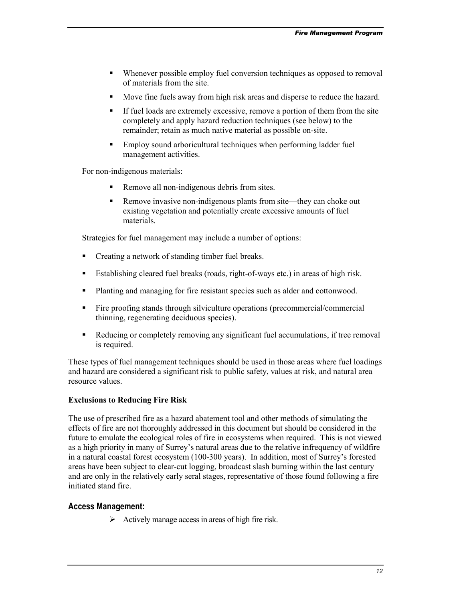- - Whenever possible employ fuel conversion techniques as opposed to removal of materials from the site.
- -Move fine fuels away from high risk areas and disperse to reduce the hazard.
- - If fuel loads are extremely excessive, remove a portion of them from the site completely and apply hazard reduction techniques (see below) to the remainder; retain as much native material as possible on-site.
- - Employ sound arboricultural techniques when performing ladder fuel management activities.

For non-indigenous materials:

- -Remove all non-indigenous debris from sites.
- - Remove invasive non-indigenous plants from site—they can choke out existing vegetation and potentially create excessive amounts of fuel materials.

Strategies for fuel management may include a number of options:

- -Creating a network of standing timber fuel breaks.
- -Establishing cleared fuel breaks (roads, right-of-ways etc.) in areas of high risk.
- Planting and managing for fire resistant species such as alder and cottonwood.
- Fire proofing stands through silviculture operations (precommercial/commercial thinning, regenerating deciduous species).
- - Reducing or completely removing any significant fuel accumulations, if tree removal is required.

These types of fuel management techniques should be used in those areas where fuel loadings and hazard are considered a significant risk to public safety, values at risk, and natural area resource values.

#### **Exclusions to Reducing Fire Risk**

The use of prescribed fire as a hazard abatement tool and other methods of simulating the effects of fire are not thoroughly addressed in this document but should be considered in the future to emulate the ecological roles of fire in ecosystems when required. This is not viewed as a high priority in many of Surrey's natural areas due to the relative infrequency of wildfire in a natural coastal forest ecosystem (100-300 years). In addition, most of Surrey's forested areas have been subject to clear-cut logging, broadcast slash burning within the last century and are only in the relatively early seral stages, representative of those found following a fire initiated stand fire.

#### **Access Management:**

> Actively manage access in areas of high fire risk.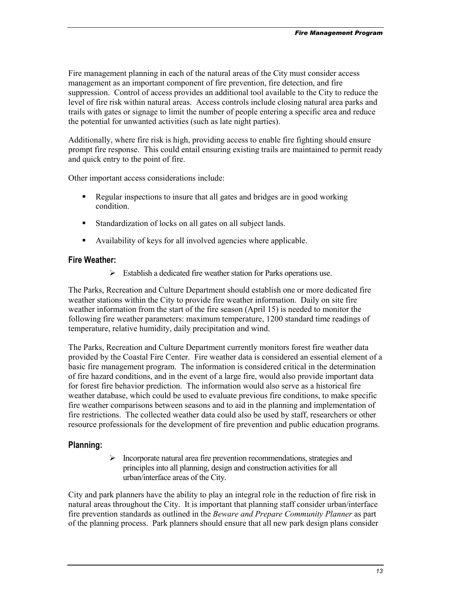Fire management planning in each of the natural areas of the City must consider access management as an important component of fire prevention, fire detection, and fire suppression. Control of access provides an additional tool available to the City to reduce the level of fire risk within natural areas. Access controls include closing natural area parks and trails with gates or signage to limit the number of people entering a specific area and reduce the potential for unwanted activities (such as late night parties).

Additionally, where fire risk is high, providing access to enable fire fighting should ensure prompt fire response. This could entail ensuring existing trails are maintained to permit ready and quick entry to the point of fire.

Other important access considerations include:

- Regular inspections to insure that all gates and bridges are in good working condition.
- Standardization of locks on all gates on all subject lands.
- Availability of keys for all involved agencies where applicable.

#### **Fire Weather:**

-Establish a dedicated fire weather station for Parks operations use.

The Parks, Recreation and Culture Department should establish one or more dedicated fire weather stations within the City to provide fire weather information. Daily on site fire weather information from the start of the fire season (April 15) is needed to monitor the following fire weather parameters: maximum temperature, 1200 standard time readings of temperature, relative humidity, daily precipitation and wind.

The Parks, Recreation and Culture Department currently monitors forest fire weather data provided by the Coastal Fire Center. Fire weather data is considered an essential element of a basic fire management program. The information is considered critical in the determination of fire hazard conditions, and in the event of a large fire, would also provide important data for forest fire behavior prediction. The information would also serve as a historical fire weather database, which could be used to evaluate previous fire conditions, to make specific fire weather comparisons between seasons and to aid in the planning and implementation of fire restrictions. The collected weather data could also be used by staff, researchers or other resource professionals for the development of fire prevention and public education programs.

#### **Planning:**

 $\blacktriangleright$ Incorporate natural area fire prevention recommendations, strategies and principles into all planning, design and construction activities for all urban/interface areas of the City.

City and park planners have the ability to play an integral role in the reduction of fire risk in natural areas throughout the City. It is important that planning staff consider urban/interface fire prevention standards as outlined in the *Beware and Prepare Community Planner* as part of the planning process. Park planners should ensure that all new park design plans consider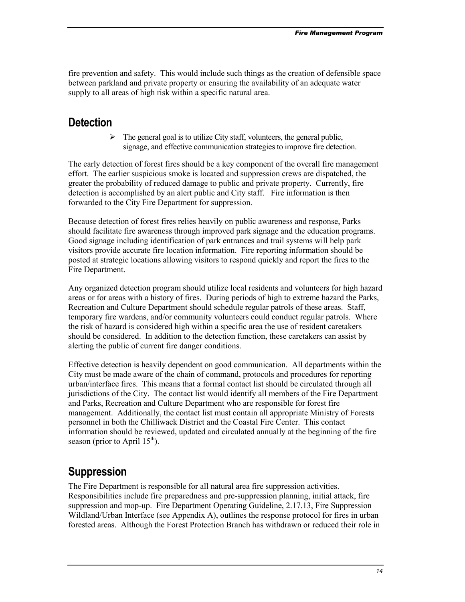<span id="page-13-0"></span>fire prevention and safety. This would include such things as the creation of defensible space between parkland and private property or ensuring the availability of an adequate water supply to all areas of high risk within a specific natural area.

## **Detection**

 $\blacktriangleright$ The general goal is to utilize City staff, volunteers, the general public, signage, and effective communication strategies to improve fire detection.

The early detection of forest fires should be a key component of the overall fire management effort. The earlier suspicious smoke is located and suppression crews are dispatched, the greater the probability of reduced damage to public and private property. Currently, fire detection is accomplished by an alert public and City staff. Fire information is then forwarded to the City Fire Department for suppression.

Because detection of forest fires relies heavily on public awareness and response, Parks should facilitate fire awareness through improved park signage and the education programs. Good signage including identification of park entrances and trail systems will help park visitors provide accurate fire location information. Fire reporting information should be posted at strategic locations allowing visitors to respond quickly and report the fires to the Fire Department.

Any organized detection program should utilize local residents and volunteers for high hazard areas or for areas with a history of fires. During periods of high to extreme hazard the Parks, Recreation and Culture Department should schedule regular patrols of these areas. Staff, temporary fire wardens, and/or community volunteers could conduct regular patrols. Where the risk of hazard is considered high within a specific area the use of resident caretakers should be considered. In addition to the detection function, these caretakers can assist by alerting the public of current fire danger conditions.

Effective detection is heavily dependent on good communication. All departments within the City must be made aware of the chain of command, protocols and procedures for reporting urban/interface fires. This means that a formal contact list should be circulated through all jurisdictions of the City. The contact list would identify all members of the Fire Department and Parks, Recreation and Culture Department who are responsible for forest fire management. Additionally, the contact list must contain all appropriate Ministry of Forests personnel in both the Chilliwack District and the Coastal Fire Center. This contact information should be reviewed, updated and circulated annually at the beginning of the fire season (prior to April  $15<sup>th</sup>$ ).

## **Suppression**

The Fire Department is responsible for all natural area fire suppression activities. Responsibilities include fire preparedness and pre-suppression planning, initial attack, fire suppression and mop-up. Fire Department Operating Guideline, 2.17.13, Fire Suppression Wildland/Urban Interface (see Appendix A), outlines the response protocol for fires in urban forested areas. Although the Forest Protection Branch has withdrawn or reduced their role in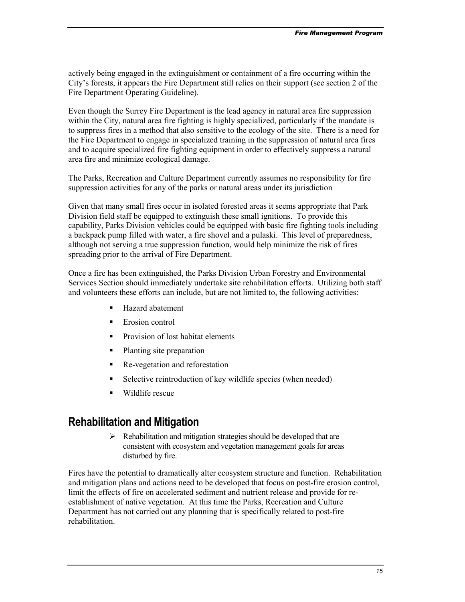<span id="page-14-0"></span>actively being engaged in the extinguishment or containment of a fire occurring within the City's forests, it appears the Fire Department still relies on their support (see section 2 of the Fire Department Operating Guideline).

Even though the Surrey Fire Department is the lead agency in natural area fire suppression within the City, natural area fire fighting is highly specialized, particularly if the mandate is to suppress fires in a method that also sensitive to the ecology of the site. There is a need for the Fire Department to engage in specialized training in the suppression of natural area fires and to acquire specialized fire fighting equipment in order to effectively suppress a natural area fire and minimize ecological damage.

The Parks, Recreation and Culture Department currently assumes no responsibility for fire suppression activities for any of the parks or natural areas under its jurisdiction

Given that many small fires occur in isolated forested areas it seems appropriate that Park Division field staff be equipped to extinguish these small ignitions. To provide this capability, Parks Division vehicles could be equipped with basic fire fighting tools including a backpack pump filled with water, a fire shovel and a pulaski. This level of preparedness, although not serving a true suppression function, would help minimize the risk of fires spreading prior to the arrival of Fire Department.

Once a fire has been extinguished, the Parks Division Urban Forestry and Environmental Services Section should immediately undertake site rehabilitation efforts. Utilizing both staff and volunteers these efforts can include, but are not limited to, the following activities:

- -Hazard abatement
- -Erosion control
- -Provision of lost habitat elements
- -Planting site preparation
- -Re-vegetation and reforestation
- -Selective reintroduction of key wildlife species (when needed)
- -Wildlife rescue

## **Rehabilitation and Mitigation**

> Rehabilitation and mitigation strategies should be developed that are consistent with ecosystem and vegetation management goals for areas disturbed by fire.

Fires have the potential to dramatically alter ecosystem structure and function. Rehabilitation and mitigation plans and actions need to be developed that focus on post-fire erosion control, limit the effects of fire on accelerated sediment and nutrient release and provide for reestablishment of native vegetation. At this time the Parks, Recreation and Culture Department has not carried out any planning that is specifically related to post-fire rehabilitation.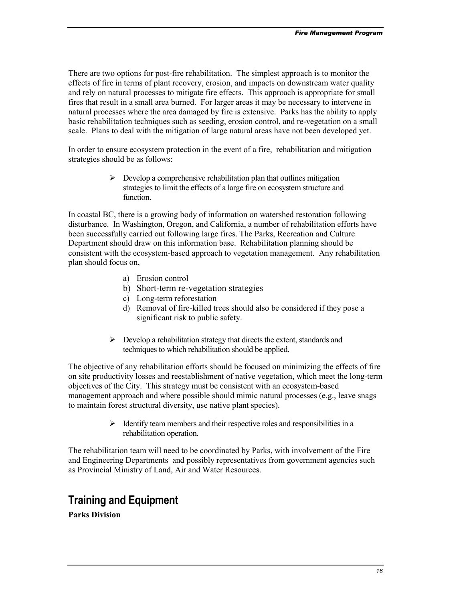<span id="page-15-0"></span>There are two options for post-fire rehabilitation. The simplest approach is to monitor the effects of fire in terms of plant recovery, erosion, and impacts on downstream water quality and rely on natural processes to mitigate fire effects. This approach is appropriate for small fires that result in a small area burned. For larger areas it may be necessary to intervene in natural processes where the area damaged by fire is extensive. Parks has the ability to apply basic rehabilitation techniques such as seeding, erosion control, and re-vegetation on a small scale. Plans to deal with the mitigation of large natural areas have not been developed yet.

In order to ensure ecosystem protection in the event of a fire, rehabilitation and mitigation strategies should be as follows:

> > Develop a comprehensive rehabilitation plan that outlines mitigation strategies to limit the effects of a large fire on ecosystem structure and function.

In coastal BC, there is a growing body of information on watershed restoration following disturbance. In Washington, Oregon, and California, a number of rehabilitation efforts have been successfully carried out following large fires. The Parks, Recreation and Culture Department should draw on this information base. Rehabilitation planning should be consistent with the ecosystem-based approach to vegetation management. Any rehabilitation plan should focus on,

- a) Erosion control
- b) Short-term re-vegetation strategies
- c) Long-term reforestation
- d) Removal of fire-killed trees should also be considered if they pose a significant risk to public safety.
- -Develop a rehabilitation strategy that directs the extent, standards and techniques to which rehabilitation should be applied.

The objective of any rehabilitation efforts should be focused on minimizing the effects of fire on site productivity losses and reestablishment of native vegetation, which meet the long-term objectives of the City. This strategy must be consistent with an ecosystem-based management approach and where possible should mimic natural processes (e.g., leave snags to maintain forest structural diversity, use native plant species).

> > Identify team members and their respective roles and responsibilities in a rehabilitation operation.

The rehabilitation team will need to be coordinated by Parks, with involvement of the Fire and Engineering Departments and possibly representatives from government agencies such as Provincial Ministry of Land, Air and Water Resources.

## **Training and Equipment**

**Parks Division**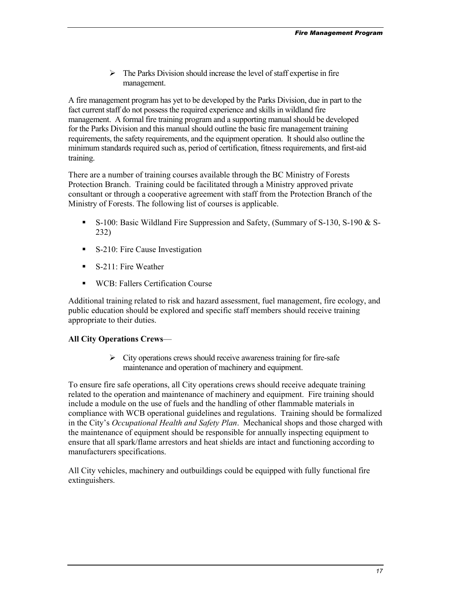> The Parks Division should increase the level of staff expertise in fire management.

A fire management program has yet to be developed by the Parks Division, due in part to the fact current staff do not possess the required experience and skills in wildland fire management. A formal fire training program and a supporting manual should be developed for the Parks Division and this manual should outline the basic fire management training requirements, the safety requirements, and the equipment operation. It should also outline the minimum standards required such as, period of certification, fitness requirements, and first-aid training.

There are a number of training courses available through the BC Ministry of Forests Protection Branch. Training could be facilitated through a Ministry approved private consultant or through a cooperative agreement with staff from the Protection Branch of the Ministry of Forests. The following list of courses is applicable.

- S-100: Basic Wildland Fire Suppression and Safety, (Summary of S-130, S-190 & S-232)
- **S-210: Fire Cause Investigation**
- **S-211: Fire Weather**
- **WCB: Fallers Certification Course**

Additional training related to risk and hazard assessment, fuel management, fire ecology, and public education should be explored and specific staff members should receive training appropriate to their duties.

#### **All City Operations Crews**—

-City operations crews should receive awareness training for fire-safe maintenance and operation of machinery and equipment.

To ensure fire safe operations, all City operations crews should receive adequate training related to the operation and maintenance of machinery and equipment. Fire training should include a module on the use of fuels and the handling of other flammable materials in compliance with WCB operational guidelines and regulations. Training should be formalized in the City's *Occupational Health and Safety Plan*. Mechanical shops and those charged with the maintenance of equipment should be responsible for annually inspecting equipment to ensure that all spark/flame arrestors and heat shields are intact and functioning according to manufacturers specifications.

All City vehicles, machinery and outbuildings could be equipped with fully functional fire extinguishers.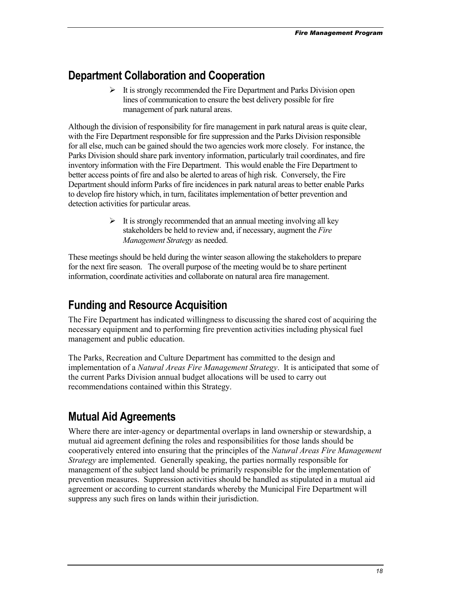## <span id="page-17-0"></span>**Department Collaboration and Cooperation**

It is strongly recommended the Fire Department and Parks Division open lines of communication to ensure the best delivery possible for fire management of park natural areas.

Although the division of responsibility for fire management in park natural areas is quite clear, with the Fire Department responsible for fire suppression and the Parks Division responsible for all else, much can be gained should the two agencies work more closely. For instance, the Parks Division should share park inventory information, particularly trail coordinates, and fire inventory information with the Fire Department. This would enable the Fire Department to better access points of fire and also be alerted to areas of high risk. Conversely, the Fire Department should inform Parks of fire incidences in park natural areas to better enable Parks to develop fire history which, in turn, facilitates implementation of better prevention and detection activities for particular areas.

> > It is strongly recommended that an annual meeting involving all key stakeholders be held to review and, if necessary, augment the *Fire Management Strategy* as needed.

These meetings should be held during the winter season allowing the stakeholders to prepare for the next fire season. The overall purpose of the meeting would be to share pertinent information, coordinate activities and collaborate on natural area fire management.

## **Funding and Resource Acquisition**

The Fire Department has indicated willingness to discussing the shared cost of acquiring the necessary equipment and to performing fire prevention activities including physical fuel management and public education.

The Parks, Recreation and Culture Department has committed to the design and implementation of a *Natural Areas Fire Management Strategy*. It is anticipated that some of the current Parks Division annual budget allocations will be used to carry out recommendations contained within this Strategy.

## **Mutual Aid Agreements**

Where there are inter-agency or departmental overlaps in land ownership or stewardship, a mutual aid agreement defining the roles and responsibilities for those lands should be cooperatively entered into ensuring that the principles of the *Natural Areas Fire Management Strategy* are implemented. Generally speaking, the parties normally responsible for management of the subject land should be primarily responsible for the implementation of prevention measures. Suppression activities should be handled as stipulated in a mutual aid agreement or according to current standards whereby the Municipal Fire Department will suppress any such fires on lands within their jurisdiction.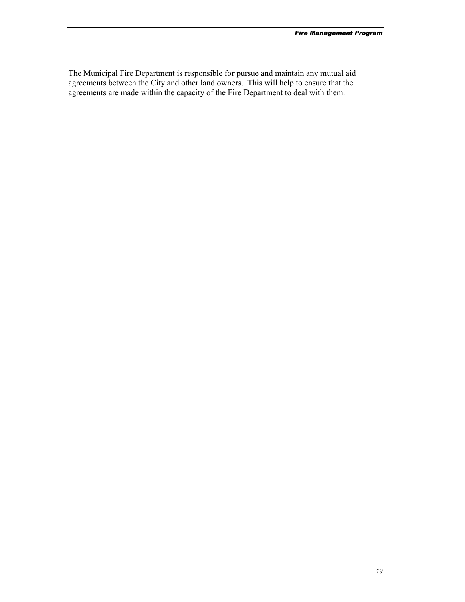The Municipal Fire Department is responsible for pursue and maintain any mutual aid agreements between the City and other land owners. This will help to ensure that the agreements are made within the capacity of the Fire Department to deal with them.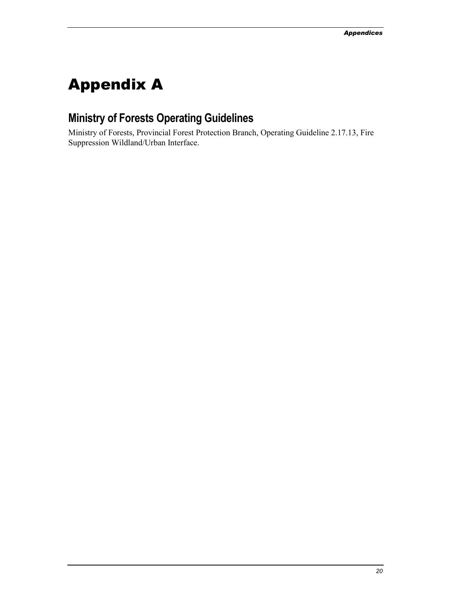# <span id="page-19-0"></span>Appendix A

## **Ministry of Forests Operating Guidelines**

Ministry of Forests, Provincial Forest Protection Branch, Operating Guideline 2.17.13, Fire Suppression Wildland/Urban Interface.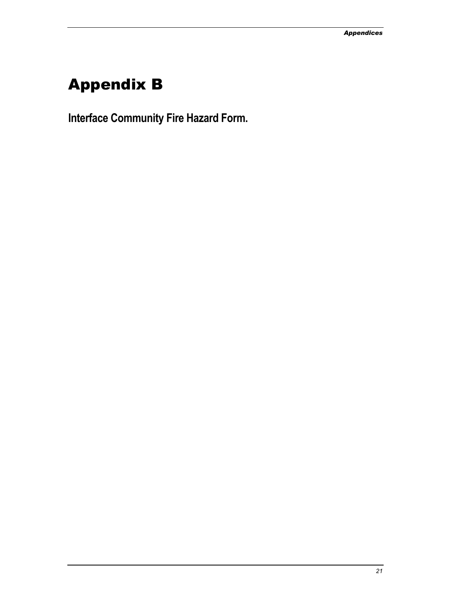# <span id="page-20-0"></span>Appendix B

**Interface Community Fire Hazard Form.**